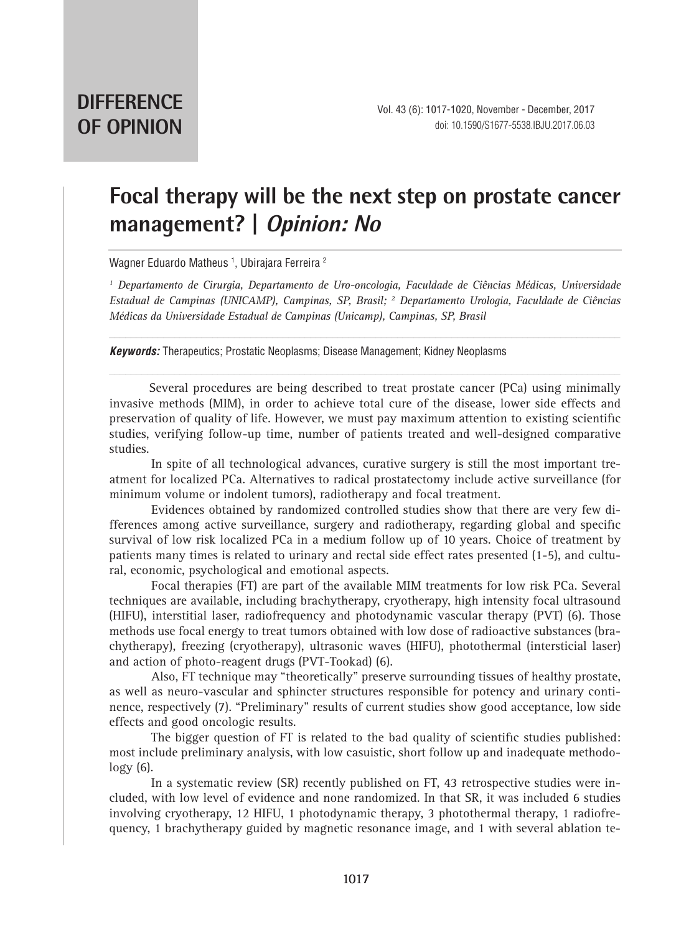## **Focal therapy will be the next step on prostate cancer management? | Opinion: No**

Wagner Eduardo Matheus <sup>1</sup>, Ubirajara Ferreira <sup>2</sup>

*1 Departamento de Cirurgia, Departamento de Uro-oncologia, Faculdade de Ciências Médicas, Universidade Estadual de Campinas (UNICAMP), Campinas, SP, Brasil; 2 Departamento Urologia, Faculdade de Ciências Médicas da Universidade Estadual de Campinas (Unicamp), Campinas, SP, Brasil*

*Keywords:* Therapeutics; Prostatic Neoplasms; Disease Management; Kidney Neoplasms

Several procedures are being described to treat prostate cancer (PCa) using minimally invasive methods (MIM), in order to achieve total cure of the disease, lower side effects and preservation of quality of life. However, we must pay maximum attention to existing scientific studies, verifying follow-up time, number of patients treated and well-designed comparative studies.

In spite of all technological advances, curative surgery is still the most important treatment for localized PCa. Alternatives to radical prostatectomy include active surveillance (for minimum volume or indolent tumors), radiotherapy and focal treatment.

Evidences obtained by randomized controlled studies show that there are very few differences among active surveillance, surgery and radiotherapy, regarding global and specific survival of low risk localized PCa in a medium follow up of 10 years. Choice of treatment by patients many times is related to urinary and rectal side effect rates presented (1-5), and cultural, economic, psychological and emotional aspects.

Focal therapies (FT) are part of the available MIM treatments for low risk PCa. Several techniques are available, including brachytherapy, cryotherapy, high intensity focal ultrasound (HIFU), interstitial laser, radiofrequency and photodynamic vascular therapy (PVT) (6). Those methods use focal energy to treat tumors obtained with low dose of radioactive substances (brachytherapy), freezing (cryotherapy), ultrasonic waves (HIFU), photothermal (intersticial laser) and action of photo-reagent drugs (PVT-Tookad) (6).

Also, FT technique may "theoretically" preserve surrounding tissues of healthy prostate, as well as neuro-vascular and sphincter structures responsible for potency and urinary continence, respectively (7). "Preliminary" results of current studies show good acceptance, low side effects and good oncologic results.

The bigger question of FT is related to the bad quality of scientific studies published: most include preliminary analysis, with low casuistic, short follow up and inadequate methodo $logy(6)$ .

In a systematic review (SR) recently published on FT, 43 retrospective studies were included, with low level of evidence and none randomized. In that SR, it was included 6 studies involving cryotherapy, 12 HIFU, 1 photodynamic therapy, 3 photothermal therapy, 1 radiofrequency, 1 brachytherapy guided by magnetic resonance image, and 1 with several ablation te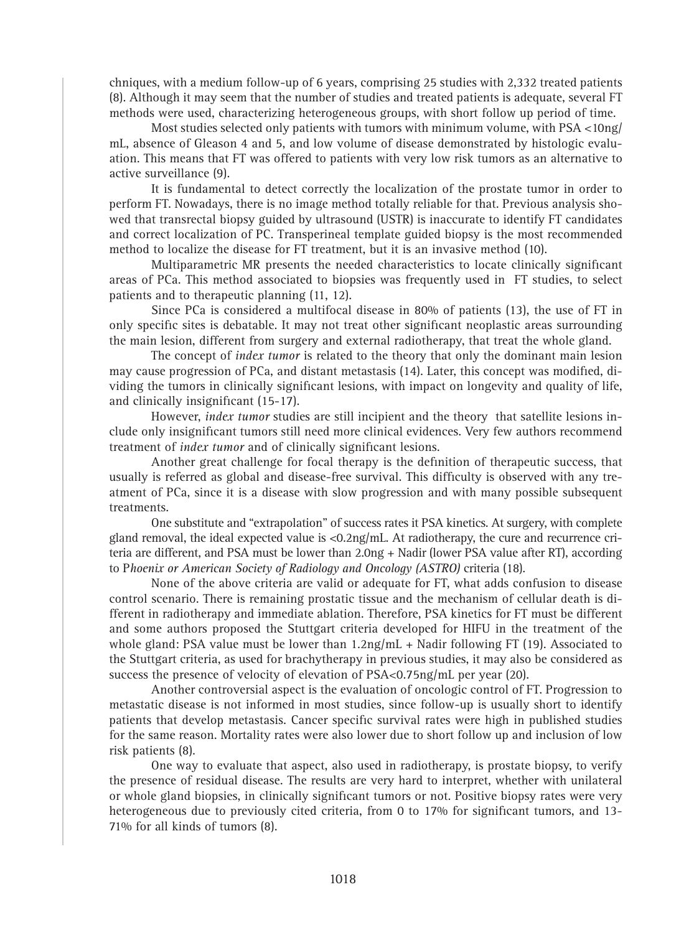chniques, with a medium follow-up of 6 years, comprising 25 studies with 2,332 treated patients (8). Although it may seem that the number of studies and treated patients is adequate, several FT methods were used, characterizing heterogeneous groups, with short follow up period of time.

Most studies selected only patients with tumors with minimum volume, with  $PSA < 10ng/$ mL, absence of Gleason 4 and 5, and low volume of disease demonstrated by histologic evaluation. This means that FT was offered to patients with very low risk tumors as an alternative to active surveillance (9).

It is fundamental to detect correctly the localization of the prostate tumor in order to perform FT. Nowadays, there is no image method totally reliable for that. Previous analysis showed that transrectal biopsy guided by ultrasound (USTR) is inaccurate to identify FT candidates and correct localization of PC. Transperineal template guided biopsy is the most recommended method to localize the disease for FT treatment, but it is an invasive method (10).

Multiparametric MR presents the needed characteristics to locate clinically significant areas of PCa. This method associated to biopsies was frequently used in FT studies, to select patients and to therapeutic planning (11, 12).

Since PCa is considered a multifocal disease in 80% of patients (13), the use of FT in only specific sites is debatable. It may not treat other significant neoplastic areas surrounding the main lesion, different from surgery and external radiotherapy, that treat the whole gland.

The concept of *index tumor* is related to the theory that only the dominant main lesion may cause progression of PCa, and distant metastasis (14). Later, this concept was modified, dividing the tumors in clinically significant lesions, with impact on longevity and quality of life, and clinically insignificant (15-17).

However, *index tumor* studies are still incipient and the theory that satellite lesions include only insignificant tumors still need more clinical evidences. Very few authors recommend treatment of *index tumor* and of clinically significant lesions.

Another great challenge for focal therapy is the definition of therapeutic success, that usually is referred as global and disease-free survival. This difficulty is observed with any treatment of PCa, since it is a disease with slow progression and with many possible subsequent treatments.

One substitute and "extrapolation" of success rates it PSA kinetics. At surgery, with complete gland removal, the ideal expected value is  $\langle 0.2 \text{ng/mL}$ . At radiotherapy, the cure and recurrence criteria are different, and PSA must be lower than 2.0ng + Nadir (lower PSA value after RT), according to P*hoenix or American Society of Radiology and Oncology (ASTRO)* criteria (18).

None of the above criteria are valid or adequate for FT, what adds confusion to disease control scenario. There is remaining prostatic tissue and the mechanism of cellular death is different in radiotherapy and immediate ablation. Therefore, PSA kinetics for FT must be different and some authors proposed the Stuttgart criteria developed for HIFU in the treatment of the whole gland: PSA value must be lower than  $1.2\text{ng/mL} + \text{Nadir following FT (19). Associated to}$ the Stuttgart criteria, as used for brachytherapy in previous studies, it may also be considered as success the presence of velocity of elevation of PSA<0.75ng/mL per year (20).

Another controversial aspect is the evaluation of oncologic control of FT. Progression to metastatic disease is not informed in most studies, since follow-up is usually short to identify patients that develop metastasis. Cancer specific survival rates were high in published studies for the same reason. Mortality rates were also lower due to short follow up and inclusion of low risk patients (8).

One way to evaluate that aspect, also used in radiotherapy, is prostate biopsy, to verify the presence of residual disease. The results are very hard to interpret, whether with unilateral or whole gland biopsies, in clinically significant tumors or not. Positive biopsy rates were very heterogeneous due to previously cited criteria, from 0 to 17% for significant tumors, and 13-71% for all kinds of tumors (8).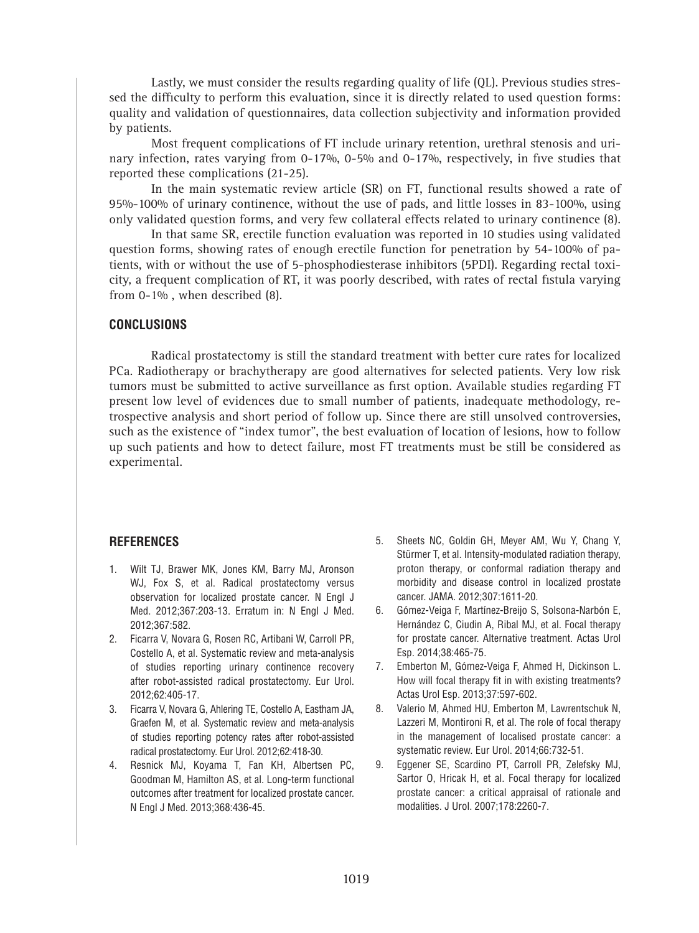Lastly, we must consider the results regarding quality of life (QL). Previous studies stressed the difficulty to perform this evaluation, since it is directly related to used question forms: quality and validation of questionnaires, data collection subjectivity and information provided by patients.

Most frequent complications of FT include urinary retention, urethral stenosis and urinary infection, rates varying from 0-17%, 0-5% and 0-17%, respectively, in five studies that reported these complications (21-25).

In the main systematic review article (SR) on FT, functional results showed a rate of 95%-100% of urinary continence, without the use of pads, and little losses in 83-100%, using only validated question forms, and very few collateral effects related to urinary continence (8).

In that same SR, erectile function evaluation was reported in 10 studies using validated question forms, showing rates of enough erectile function for penetration by 54-100% of patients, with or without the use of 5-phosphodiesterase inhibitors (5PDI). Regarding rectal toxicity, a frequent complication of RT, it was poorly described, with rates of rectal fistula varying from 0-1% , when described (8).

## **CONCLUSIONS**

Radical prostatectomy is still the standard treatment with better cure rates for localized PCa. Radiotherapy or brachytherapy are good alternatives for selected patients. Very low risk tumors must be submitted to active surveillance as first option. Available studies regarding FT present low level of evidences due to small number of patients, inadequate methodology, retrospective analysis and short period of follow up. Since there are still unsolved controversies, such as the existence of "index tumor", the best evaluation of location of lesions, how to follow up such patients and how to detect failure, most FT treatments must be still be considered as experimental.

## **REFERENCES**

- 1. Wilt TJ, Brawer MK, Jones KM, Barry MJ, Aronson WJ, Fox S, et al. Radical prostatectomy versus observation for localized prostate cancer. N Engl J Med. 2012;367:203-13. Erratum in: N Engl J Med. 2012;367:582.
- 2. Ficarra V, Novara G, Rosen RC, Artibani W, Carroll PR, Costello A, et al. Systematic review and meta-analysis of studies reporting urinary continence recovery after robot-assisted radical prostatectomy. Eur Urol. 2012;62:405-17.
- 3. Ficarra V, Novara G, Ahlering TE, Costello A, Eastham JA, Graefen M, et al. Systematic review and meta-analysis of studies reporting potency rates after robot-assisted radical prostatectomy. Eur Urol. 2012;62:418-30.
- 4. Resnick MJ, Koyama T, Fan KH, Albertsen PC, Goodman M, Hamilton AS, et al. Long-term functional outcomes after treatment for localized prostate cancer. N Engl J Med. 2013;368:436-45.
- 5. Sheets NC, Goldin GH, Meyer AM, Wu Y, Chang Y, Stürmer T, et al. Intensity-modulated radiation therapy, proton therapy, or conformal radiation therapy and morbidity and disease control in localized prostate cancer. JAMA. 2012;307:1611-20.
- 6. Gómez-Veiga F, Martínez-Breijo S, Solsona-Narbón E, Hernández C, Ciudin A, Ribal MJ, et al. Focal therapy for prostate cancer. Alternative treatment. Actas Urol Esp. 2014;38:465-75.
- 7. Emberton M, Gómez-Veiga F, Ahmed H, Dickinson L. How will focal therapy fit in with existing treatments? Actas Urol Esp. 2013;37:597-602.
- 8. Valerio M, Ahmed HU, Emberton M, Lawrentschuk N, Lazzeri M, Montironi R, et al. The role of focal therapy in the management of localised prostate cancer: a systematic review. Eur Urol. 2014;66:732-51.
- 9. Eggener SE, Scardino PT, Carroll PR, Zelefsky MJ, Sartor O, Hricak H, et al. Focal therapy for localized prostate cancer: a critical appraisal of rationale and modalities. J Urol. 2007;178:2260-7.